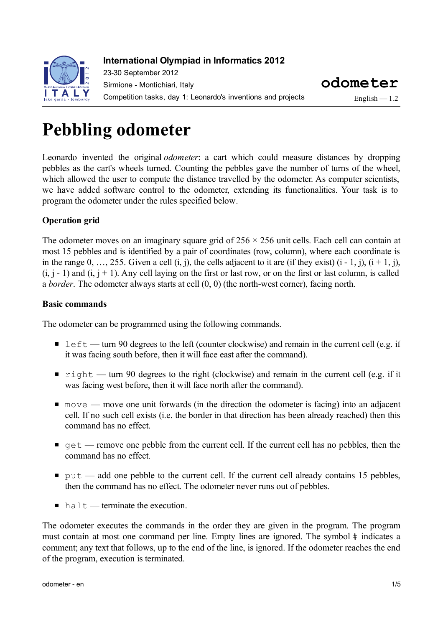

### **International Olympiad in Informatics 2012**

23-30 September 2012 Sirmione - Montichiari, Italy Competition tasks, day 1: Leonardo's inventions and projects

**odometer**

 $Enelish - 1.2$ 

# **Pebbling odometer**

Leonardo invented the original *odometer*: a cart which could measure distances by dropping pebbles as the cart's wheels turned. Counting the pebbles gave the number of turns of the wheel, which allowed the user to compute the distance travelled by the odometer. As computer scientists, we have added software control to the odometer, extending its functionalities. Your task is to program the odometer under the rules specified below.

#### **Operation grid**

The odometer moves on an imaginary square grid of  $256 \times 256$  unit cells. Each cell can contain at most 15 pebbles and is identified by a pair of coordinates (row, column), where each coordinate is in the range  $0, \ldots, 255$ . Given a cell  $(i, j)$ , the cells adjacent to it are (if they exist)  $(i - 1, j)$ ,  $(i + 1, j)$ ,  $(i, j - 1)$  and  $(i, j + 1)$ . Any cell laying on the first or last row, or on the first or last column, is called a *border*. The odometer always starts at cell (0, 0) (the north-west corner), facing north.

#### **Basic commands**

The odometer can be programmed using the following commands.

- left turn 90 degrees to the left (counter clockwise) and remain in the current cell (e.g. if it was facing south before, then it will face east after the command).
- right turn 90 degrees to the right (clockwise) and remain in the current cell (e.g. if it was facing west before, then it will face north after the command).
- $\blacksquare$  move move one unit forwards (in the direction the odometer is facing) into an adjacent cell. If no such cell exists (i.e. the border in that direction has been already reached) then this command has no effect.
- $\bullet$  get remove one pebble from the current cell. If the current cell has no pebbles, then the command has no effect.
- $\bullet$  put add one pebble to the current cell. If the current cell already contains 15 pebbles, then the command has no effect. The odometer never runs out of pebbles.
- $\blacksquare$  halt terminate the execution.

The odometer executes the commands in the order they are given in the program. The program must contain at most one command per line. Empty lines are ignored. The symbol # indicates a comment; any text that follows, up to the end of the line, is ignored. If the odometer reaches the end of the program, execution is terminated.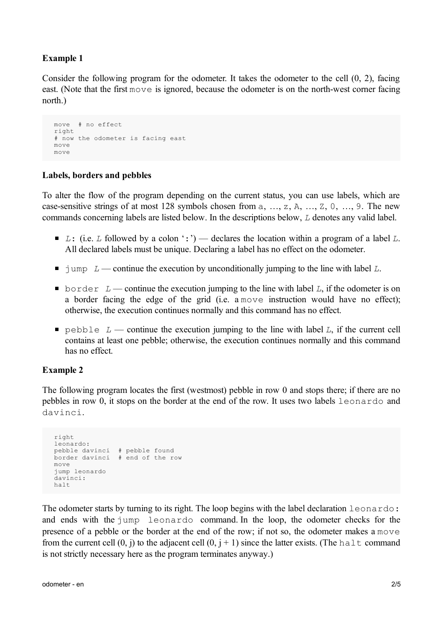#### **Example 1**

Consider the following program for the odometer. It takes the odometer to the cell (0, 2), facing east. (Note that the first move is ignored, because the odometer is on the north-west corner facing north.)

```
move # no effect
right
# now the odometer is facing east
move
move
```
#### **Labels, borders and pebbles**

To alter the flow of the program depending on the current status, you can use labels, which are case-sensitive strings of at most 128 symbols chosen from a, …, z, A, …, Z, 0, …, 9. The new commands concerning labels are listed below. In the descriptions below, *L* denotes any valid label.

- *L*: (i.e. *L* followed by a colon ':') declares the location within a program of a label *L*. All declared labels must be unique. Declaring a label has no effect on the odometer.
- $\blacksquare$  jump  $L$  continue the execution by unconditionally jumping to the line with label  $L$ .
- border  $L$  continue the execution jumping to the line with label  $L$ , if the odometer is on a border facing the edge of the grid (i.e. a move instruction would have no effect); otherwise, the execution continues normally and this command has no effect.
- pebble  $L$  continue the execution jumping to the line with label  $L$ , if the current cell contains at least one pebble; otherwise, the execution continues normally and this command has no effect.

#### **Example 2**

The following program locates the first (westmost) pebble in row 0 and stops there; if there are no pebbles in row 0, it stops on the border at the end of the row. It uses two labels leonardo and davinci.

```
right
leonardo:
pebble davinci # pebble found
border davinci # end of the row
move
jump leonardo
davinci:
halt
```
The odometer starts by turning to its right. The loop begins with the label declaration leonardo: and ends with the jump leonardo command. In the loop, the odometer checks for the presence of a pebble or the border at the end of the row; if not so, the odometer makes a move from the current cell  $(0, j)$  to the adjacent cell  $(0, j + 1)$  since the latter exists. (The halt command is not strictly necessary here as the program terminates anyway.)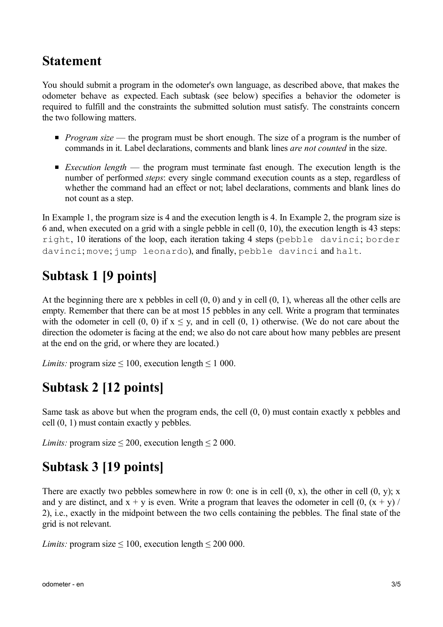### **Statement**

You should submit a program in the odometer's own language, as described above, that makes the odometer behave as expected. Each subtask (see below) specifies a behavior the odometer is required to fulfill and the constraints the submitted solution must satisfy. The constraints concern the two following matters.

- **Program** size the program must be short enough. The size of a program is the number of commands in it. Label declarations, comments and blank lines *are not counted* in the size.
- *Execution length* the program must terminate fast enough. The execution length is the number of performed *steps*: every single command execution counts as a step, regardless of whether the command had an effect or not; label declarations, comments and blank lines do not count as a step.

In Example 1, the program size is 4 and the execution length is 4. In Example 2, the program size is 6 and, when executed on a grid with a single pebble in cell (0, 10), the execution length is 43 steps: right, 10 iterations of the loop, each iteration taking 4 steps (pebble davinci; border davinci; move; jump leonardo), and finally, pebble davinci and halt.

# **Subtask 1 [9 points]**

At the beginning there are x pebbles in cell (0, 0) and y in cell (0, 1), whereas all the other cells are empty. Remember that there can be at most 15 pebbles in any cell. Write a program that terminates with the odometer in cell  $(0, 0)$  if  $x \le y$ , and in cell  $(0, 1)$  otherwise. (We do not care about the direction the odometer is facing at the end; we also do not care about how many pebbles are present at the end on the grid, or where they are located.)

*Limits:* program size  $\leq 100$ , execution length  $\leq 1000$ .

# **Subtask 2 [12 points]**

Same task as above but when the program ends, the cell (0, 0) must contain exactly x pebbles and cell (0, 1) must contain exactly y pebbles.

*Limits:* program size  $\leq 200$ , execution length  $\leq 2000$ .

# **Subtask 3 [19 points]**

There are exactly two pebbles somewhere in row 0: one is in cell  $(0, x)$ , the other in cell  $(0, y)$ ; x and y are distinct, and  $x + y$  is even. Write a program that leaves the odometer in cell  $(0, (x + y) /$ 2), i.e., exactly in the midpoint between the two cells containing the pebbles. The final state of the grid is not relevant.

*Limits:* program size  $\leq 100$ , execution length  $\leq 200000$ .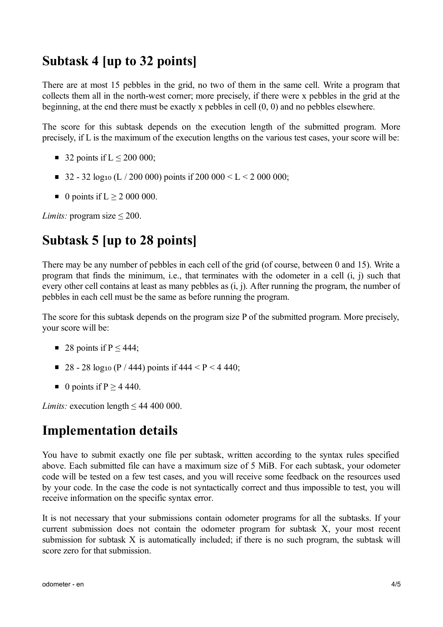### **Subtask 4 [up to 32 points]**

There are at most 15 pebbles in the grid, no two of them in the same cell. Write a program that collects them all in the north-west corner; more precisely, if there were x pebbles in the grid at the beginning, at the end there must be exactly x pebbles in cell (0, 0) and no pebbles elsewhere.

The score for this subtask depends on the execution length of the submitted program. More precisely, if L is the maximum of the execution lengths on the various test cases, your score will be:

- 32 points if  $L \le 200000$ ;
- 32 32 log<sub>10</sub> (L / 200 000) points if 200 000 < L < 2 000 000;
- $\blacksquare$  0 points if L > 2 000 000.

*Limits:* program size ≤ 200.

# **Subtask 5 [up to 28 points]**

There may be any number of pebbles in each cell of the grid (of course, between 0 and 15). Write a program that finds the minimum, i.e., that terminates with the odometer in a cell (i, j) such that every other cell contains at least as many pebbles as (i, j). After running the program, the number of pebbles in each cell must be the same as before running the program.

The score for this subtask depends on the program size P of the submitted program. More precisely, your score will be:

- 28 points if  $P \leq 444$ ;
- 28 28 log<sub>10</sub> (P / 444) points if  $444 < P < 440$ ;
- 0 points if  $P \ge 4440$ .

*Limits:* execution length  $\leq 44,400,000$ .

### **Implementation details**

You have to submit exactly one file per subtask, written according to the syntax rules specified above. Each submitted file can have a maximum size of 5 MiB. For each subtask, your odometer code will be tested on a few test cases, and you will receive some feedback on the resources used by your code. In the case the code is not syntactically correct and thus impossible to test, you will receive information on the specific syntax error.

It is not necessary that your submissions contain odometer programs for all the subtasks. If your current submission does not contain the odometer program for subtask X, your most recent submission for subtask X is automatically included; if there is no such program, the subtask will score zero for that submission.